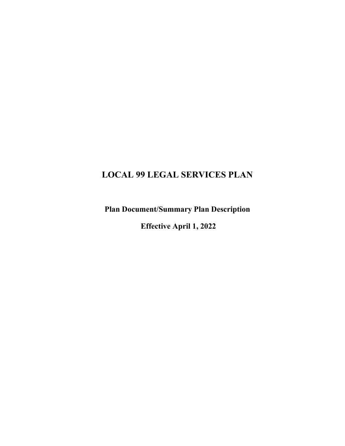# LOCAL 99 LEGAL SERVICES PLAN

Plan Document/Summary Plan Description

Effective April 1, 2022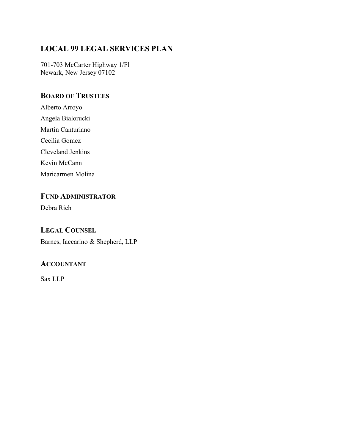## LOCAL 99 LEGAL SERVICES PLAN

701-703 McCarter Highway 1/Fl Newark, New Jersey 07102

## BOARD OF TRUSTEES

Alberto Arroyo Angela Bialorucki Martin Canturiano Cecilia Gomez Cleveland Jenkins Kevin McCann

Maricarmen Molina

## FUND ADMINISTRATOR

Debra Rich

### LEGAL COUNSEL

Barnes, Iaccarino & Shepherd, LLP

#### **ACCOUNTANT**

Sax LLP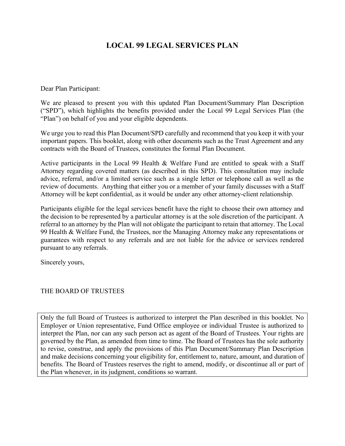## LOCAL 99 LEGAL SERVICES PLAN

Dear Plan Participant:

We are pleased to present you with this updated Plan Document/Summary Plan Description ("SPD"), which highlights the benefits provided under the Local 99 Legal Services Plan (the "Plan") on behalf of you and your eligible dependents.

We urge you to read this Plan Document/SPD carefully and recommend that you keep it with your important papers. This booklet, along with other documents such as the Trust Agreement and any contracts with the Board of Trustees, constitutes the formal Plan Document.

Active participants in the Local 99 Health & Welfare Fund are entitled to speak with a Staff Attorney regarding covered matters (as described in this SPD). This consultation may include advice, referral, and/or a limited service such as a single letter or telephone call as well as the review of documents. Anything that either you or a member of your family discusses with a Staff Attorney will be kept confidential, as it would be under any other attorney-client relationship.

Participants eligible for the legal services benefit have the right to choose their own attorney and the decision to be represented by a particular attorney is at the sole discretion of the participant. A referral to an attorney by the Plan will not obligate the participant to retain that attorney. The Local 99 Health & Welfare Fund, the Trustees, nor the Managing Attorney make any representations or guarantees with respect to any referrals and are not liable for the advice or services rendered pursuant to any referrals.

Sincerely yours,

#### THE BOARD OF TRUSTEES

Only the full Board of Trustees is authorized to interpret the Plan described in this booklet. No Employer or Union representative, Fund Office employee or individual Trustee is authorized to interpret the Plan, nor can any such person act as agent of the Board of Trustees. Your rights are governed by the Plan, as amended from time to time. The Board of Trustees has the sole authority to revise, construe, and apply the provisions of this Plan Document/Summary Plan Description and make decisions concerning your eligibility for, entitlement to, nature, amount, and duration of benefits. The Board of Trustees reserves the right to amend, modify, or discontinue all or part of the Plan whenever, in its judgment, conditions so warrant.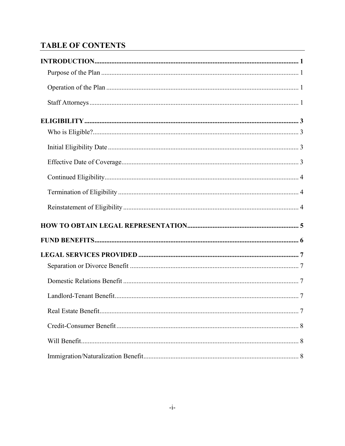## **TABLE OF CONTENTS**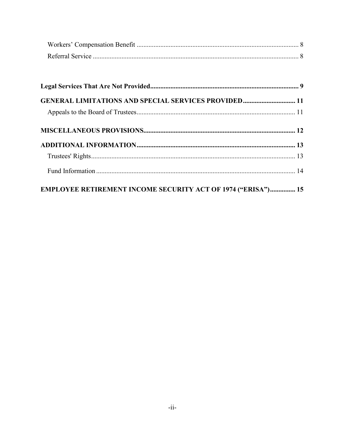| <b>GENERAL LIMITATIONS AND SPECIAL SERVICES PROVIDED 11</b>         |  |
|---------------------------------------------------------------------|--|
|                                                                     |  |
|                                                                     |  |
|                                                                     |  |
|                                                                     |  |
|                                                                     |  |
| <b>EMPLOYEE RETIREMENT INCOME SECURITY ACT OF 1974 ("ERISA") 15</b> |  |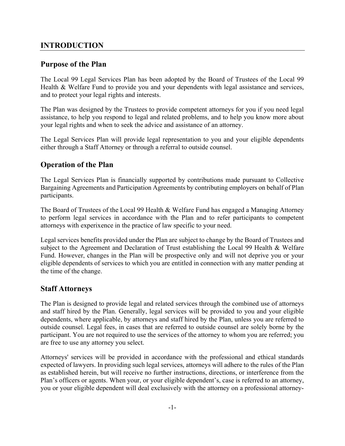#### INTRODUCTION

#### Purpose of the Plan

The Local 99 Legal Services Plan has been adopted by the Board of Trustees of the Local 99 Health & Welfare Fund to provide you and your dependents with legal assistance and services, and to protect your legal rights and interests.

The Plan was designed by the Trustees to provide competent attorneys for you if you need legal assistance, to help you respond to legal and related problems, and to help you know more about your legal rights and when to seek the advice and assistance of an attorney.

The Legal Services Plan will provide legal representation to you and your eligible dependents either through a Staff Attorney or through a referral to outside counsel.

### Operation of the Plan

The Legal Services Plan is financially supported by contributions made pursuant to Collective Bargaining Agreements and Participation Agreements by contributing employers on behalf of Plan participants.

The Board of Trustees of the Local 99 Health & Welfare Fund has engaged a Managing Attorney to perform legal services in accordance with the Plan and to refer participants to competent attorneys with experixence in the practice of law specific to your need.

Legal services benefits provided under the Plan are subject to change by the Board of Trustees and subject to the Agreement and Declaration of Trust establishing the Local 99 Health & Welfare Fund. However, changes in the Plan will be prospective only and will not deprive you or your eligible dependents of services to which you are entitled in connection with any matter pending at the time of the change.

#### Staff Attorneys

The Plan is designed to provide legal and related services through the combined use of attorneys and staff hired by the Plan. Generally, legal services will be provided to you and your eligible dependents, where applicable, by attorneys and staff hired by the Plan, unless you are referred to outside counsel. Legal fees, in cases that are referred to outside counsel are solely borne by the participant. You are not required to use the services of the attorney to whom you are referred; you are free to use any attorney you select.

Attorneys' services will be provided in accordance with the professional and ethical standards expected of lawyers. In providing such legal services, attorneys will adhere to the rules of the Plan as established herein, but will receive no further instructions, directions, or interference from the Plan's officers or agents. When your, or your eligible dependent's, case is referred to an attorney, you or your eligible dependent will deal exclusively with the attorney on a professional attorney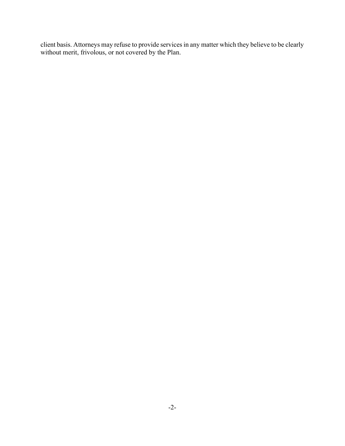client basis. Attorneys may refuse to provide services in any matter which they believe to be clearly without merit, frivolous, or not covered by the Plan.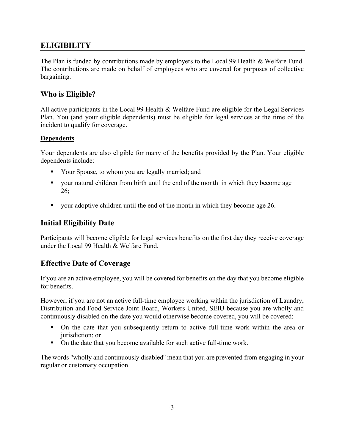### **ELIGIBILITY**

The Plan is funded by contributions made by employers to the Local 99 Health & Welfare Fund. The contributions are made on behalf of employees who are covered for purposes of collective bargaining.

### Who is Eligible?

All active participants in the Local 99 Health & Welfare Fund are eligible for the Legal Services Plan. You (and your eligible dependents) must be eligible for legal services at the time of the incident to qualify for coverage.

#### Dependents

Your dependents are also eligible for many of the benefits provided by the Plan. Your eligible dependents include:

- **•** Your Spouse, to whom you are legally married; and
- your natural children from birth until the end of the month in which they become age 26;
- vour adoptive children until the end of the month in which they become age 26.

### Initial Eligibility Date

Participants will become eligible for legal services benefits on the first day they receive coverage under the Local 99 Health & Welfare Fund.

### Effective Date of Coverage

If you are an active employee, you will be covered for benefits on the day that you become eligible for benefits.

However, if you are not an active full-time employee working within the jurisdiction of Laundry, Distribution and Food Service Joint Board, Workers United, SEIU because you are wholly and continuously disabled on the date you would otherwise become covered, you will be covered:

- On the date that you subsequently return to active full-time work within the area or jurisdiction; or
- On the date that you become available for such active full-time work.

The words "wholly and continuously disabled'' mean that you are prevented from engaging in your regular or customary occupation.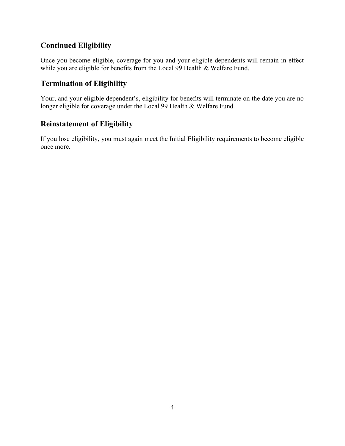### Continued Eligibility

Once you become eligible, coverage for you and your eligible dependents will remain in effect while you are eligible for benefits from the Local 99 Health & Welfare Fund.

## Termination of Eligibility

Your, and your eligible dependent's, eligibility for benefits will terminate on the date you are no longer eligible for coverage under the Local 99 Health & Welfare Fund.

### Reinstatement of Eligibility

If you lose eligibility, you must again meet the Initial Eligibility requirements to become eligible once more.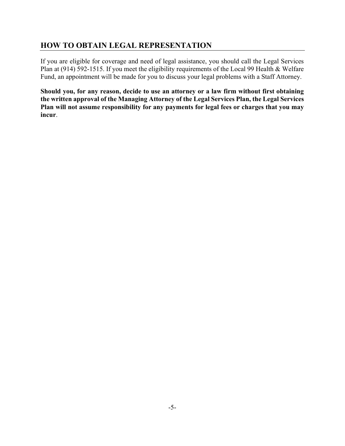### HOW TO OBTAIN LEGAL REPRESENTATION

If you are eligible for coverage and need of legal assistance, you should call the Legal Services Plan at (914) 592-1515. If you meet the eligibility requirements of the Local 99 Health & Welfare Fund, an appointment will be made for you to discuss your legal problems with a Staff Attorney.

Should you, for any reason, decide to use an attorney or a law firm without first obtaining the written approval of the Managing Attorney of the Legal Services Plan, the Legal Services Plan will not assume responsibility for any payments for legal fees or charges that you may incur.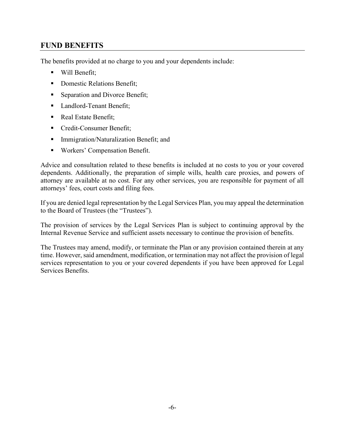### FUND BENEFITS

The benefits provided at no charge to you and your dependents include:

- **Will Benefit:**
- Domestic Relations Benefit;
- **Separation and Divorce Benefit;**
- Landlord-Tenant Benefit;
- Real Estate Benefit;
- **Credit-Consumer Benefit;**
- **Immigration/Naturalization Benefit; and**
- Workers' Compensation Benefit.

Advice and consultation related to these benefits is included at no costs to you or your covered dependents. Additionally, the preparation of simple wills, health care proxies, and powers of attorney are available at no cost. For any other services, you are responsible for payment of all attorneys' fees, court costs and filing fees.

If you are denied legal representation by the Legal Services Plan, you may appeal the determination to the Board of Trustees (the "Trustees").

The provision of services by the Legal Services Plan is subject to continuing approval by the Internal Revenue Service and sufficient assets necessary to continue the provision of benefits.

The Trustees may amend, modify, or terminate the Plan or any provision contained therein at any time. However, said amendment, modification, or termination may not affect the provision of legal services representation to you or your covered dependents if you have been approved for Legal Services Benefits.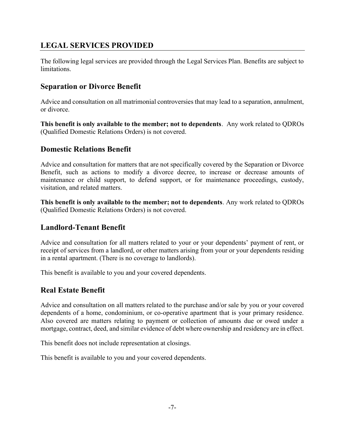### LEGAL SERVICES PROVIDED

The following legal services are provided through the Legal Services Plan. Benefits are subject to limitations.

### Separation or Divorce Benefit

Advice and consultation on all matrimonial controversies that may lead to a separation, annulment, or divorce.

This benefit is only available to the member; not to dependents. Any work related to QDROs (Qualified Domestic Relations Orders) is not covered.

#### Domestic Relations Benefit

Advice and consultation for matters that are not specifically covered by the Separation or Divorce Benefit, such as actions to modify a divorce decree, to increase or decrease amounts of maintenance or child support, to defend support, or for maintenance proceedings, custody, visitation, and related matters.

This benefit is only available to the member; not to dependents. Any work related to QDROs (Qualified Domestic Relations Orders) is not covered.

#### Landlord-Tenant Benefit

Advice and consultation for all matters related to your or your dependents' payment of rent, or receipt of services from a landlord, or other matters arising from your or your dependents residing in a rental apartment. (There is no coverage to landlords).

This benefit is available to you and your covered dependents.

#### Real Estate Benefit

Advice and consultation on all matters related to the purchase and/or sale by you or your covered dependents of a home, condominium, or co-operative apartment that is your primary residence. Also covered are matters relating to payment or collection of amounts due or owed under a mortgage, contract, deed, and similar evidence of debt where ownership and residency are in effect.

This benefit does not include representation at closings.

This benefit is available to you and your covered dependents.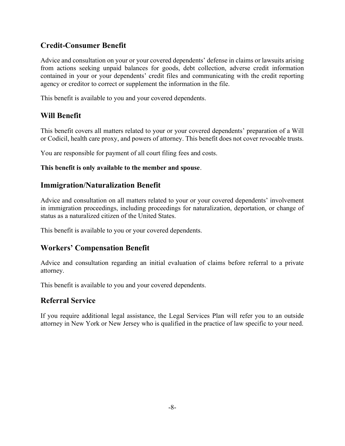### Credit-Consumer Benefit

Advice and consultation on your or your covered dependents' defense in claims or lawsuits arising from actions seeking unpaid balances for goods, debt collection, adverse credit information contained in your or your dependents' credit files and communicating with the credit reporting agency or creditor to correct or supplement the information in the file.

This benefit is available to you and your covered dependents.

## Will Benefit

This benefit covers all matters related to your or your covered dependents' preparation of a Will or Codicil, health care proxy, and powers of attorney. This benefit does not cover revocable trusts.

You are responsible for payment of all court filing fees and costs.

#### This benefit is only available to the member and spouse.

### Immigration/Naturalization Benefit

Advice and consultation on all matters related to your or your covered dependents' involvement in immigration proceedings, including proceedings for naturalization, deportation, or change of status as a naturalized citizen of the United States.

This benefit is available to you or your covered dependents.

### Workers' Compensation Benefit

Advice and consultation regarding an initial evaluation of claims before referral to a private attorney.

This benefit is available to you and your covered dependents.

### Referral Service

If you require additional legal assistance, the Legal Services Plan will refer you to an outside attorney in New York or New Jersey who is qualified in the practice of law specific to your need.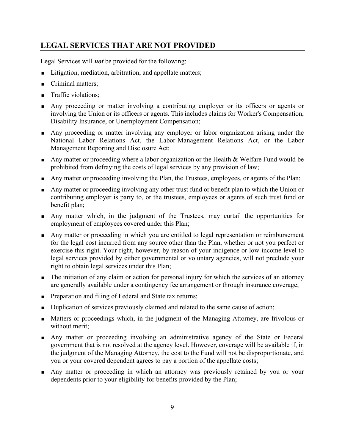### LEGAL SERVICES THAT ARE NOT PROVIDED

Legal Services will *not* be provided for the following:

- Litigation, mediation, arbitration, and appellate matters;
- Criminal matters;
- Traffic violations;
- Any proceeding or matter involving a contributing employer or its officers or agents or involving the Union or its officers or agents. This includes claims for Worker's Compensation, Disability Insurance, or Unemployment Compensation;
- Any proceeding or matter involving any employer or labor organization arising under the National Labor Relations Act, the Labor-Management Relations Act, or the Labor Management Reporting and Disclosure Act;
- Any matter or proceeding where a labor organization or the Health & Welfare Fund would be prohibited from defraying the costs of legal services by any provision of law;
- Any matter or proceeding involving the Plan, the Trustees, employees, or agents of the Plan;
- Any matter or proceeding involving any other trust fund or benefit plan to which the Union or contributing employer is party to, or the trustees, employees or agents of such trust fund or benefit plan;
- Any matter which, in the judgment of the Trustees, may curtail the opportunities for employment of employees covered under this Plan;
- Any matter or proceeding in which you are entitled to legal representation or reimbursement for the legal cost incurred from any source other than the Plan, whether or not you perfect or exercise this right. Your right, however, by reason of your indigence or low-income level to legal services provided by either governmental or voluntary agencies, will not preclude your right to obtain legal services under this Plan;
- The initiation of any claim or action for personal injury for which the services of an attorney are generally available under a contingency fee arrangement or through insurance coverage;
- **Preparation and filing of Federal and State tax returns;**
- Duplication of services previously claimed and related to the same cause of action;
- **Matters or proceedings which, in the judgment of the Managing Attorney, are frivolous or** without merit;
- Any matter or proceeding involving an administrative agency of the State or Federal government that is not resolved at the agency level. However, coverage will be available if, in the judgment of the Managing Attorney, the cost to the Fund will not be disproportionate, and you or your covered dependent agrees to pay a portion of the appellate costs;
- Any matter or proceeding in which an attorney was previously retained by you or your dependents prior to your eligibility for benefits provided by the Plan;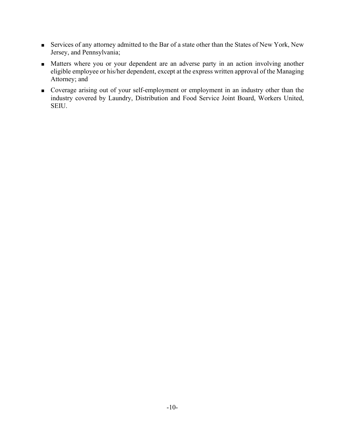- Services of any attorney admitted to the Bar of a state other than the States of New York, New Jersey, and Pennsylvania;
- **Matters where you or your dependent are an adverse party in an action involving another** eligible employee or his/her dependent, except at the express written approval of the Managing Attorney; and
- Coverage arising out of your self-employment or employment in an industry other than the industry covered by Laundry, Distribution and Food Service Joint Board, Workers United, SEIU.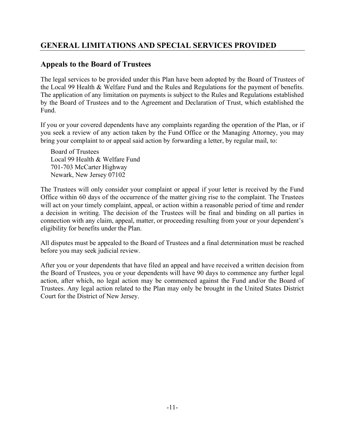## GENERAL LIMITATIONS AND SPECIAL SERVICES PROVIDED

### Appeals to the Board of Trustees

The legal services to be provided under this Plan have been adopted by the Board of Trustees of the Local 99 Health & Welfare Fund and the Rules and Regulations for the payment of benefits. The application of any limitation on payments is subject to the Rules and Regulations established by the Board of Trustees and to the Agreement and Declaration of Trust, which established the Fund.

If you or your covered dependents have any complaints regarding the operation of the Plan, or if you seek a review of any action taken by the Fund Office or the Managing Attorney, you may bring your complaint to or appeal said action by forwarding a letter, by regular mail, to:

Board of Trustees Local 99 Health & Welfare Fund 701-703 McCarter Highway Newark, New Jersey 07102

The Trustees will only consider your complaint or appeal if your letter is received by the Fund Office within 60 days of the occurrence of the matter giving rise to the complaint. The Trustees will act on your timely complaint, appeal, or action within a reasonable period of time and render a decision in writing. The decision of the Trustees will be final and binding on all parties in connection with any claim, appeal, matter, or proceeding resulting from your or your dependent's eligibility for benefits under the Plan.

All disputes must be appealed to the Board of Trustees and a final determination must be reached before you may seek judicial review.

After you or your dependents that have filed an appeal and have received a written decision from the Board of Trustees, you or your dependents will have 90 days to commence any further legal action, after which, no legal action may be commenced against the Fund and/or the Board of Trustees. Any legal action related to the Plan may only be brought in the United States District Court for the District of New Jersey.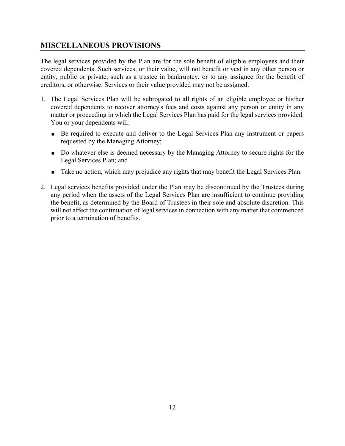### MISCELLANEOUS PROVISIONS

The legal services provided by the Plan are for the sole benefit of eligible employees and their covered dependents. Such services, or their value, will not benefit or vest in any other person or entity, public or private, such as a trustee in bankruptcy, or to any assignee for the benefit of creditors, or otherwise. Services or their value provided may not be assigned.

- 1. The Legal Services Plan will be subrogated to all rights of an eligible employee or his/her covered dependents to recover attorney's fees and costs against any person or entity in any matter or proceeding in which the Legal Services Plan has paid for the legal services provided. You or your dependents will:
	- Be required to execute and deliver to the Legal Services Plan any instrument or papers requested by the Managing Attorney;
	- Do whatever else is deemed necessary by the Managing Attorney to secure rights for the Legal Services Plan; and
	- **Take no action, which may prejudice any rights that may benefit the Legal Services Plan.**
- 2. Legal services benefits provided under the Plan may be discontinued by the Trustees during any period when the assets of the Legal Services Plan are insufficient to continue providing the benefit, as determined by the Board of Trustees in their sole and absolute discretion. This will not affect the continuation of legal services in connection with any matter that commenced prior to a termination of benefits.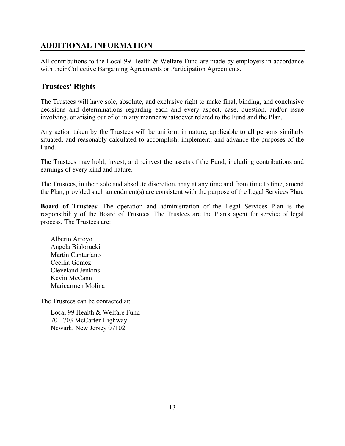### ADDITIONAL INFORMATION

All contributions to the Local 99 Health & Welfare Fund are made by employers in accordance with their Collective Bargaining Agreements or Participation Agreements.

## Trustees' Rights

The Trustees will have sole, absolute, and exclusive right to make final, binding, and conclusive decisions and determinations regarding each and every aspect, case, question, and/or issue involving, or arising out of or in any manner whatsoever related to the Fund and the Plan.

Any action taken by the Trustees will be uniform in nature, applicable to all persons similarly situated, and reasonably calculated to accomplish, implement, and advance the purposes of the Fund.

The Trustees may hold, invest, and reinvest the assets of the Fund, including contributions and earnings of every kind and nature.

The Trustees, in their sole and absolute discretion, may at any time and from time to time, amend the Plan, provided such amendment(s) are consistent with the purpose of the Legal Services Plan.

Board of Trustees: The operation and administration of the Legal Services Plan is the responsibility of the Board of Trustees. The Trustees are the Plan's agent for service of legal process. The Trustees are:

Alberto Arroyo Angela Bialorucki Martin Canturiano Cecilia Gomez Cleveland Jenkins Kevin McCann Maricarmen Molina

The Trustees can be contacted at:

Local 99 Health & Welfare Fund 701-703 McCarter Highway Newark, New Jersey 07102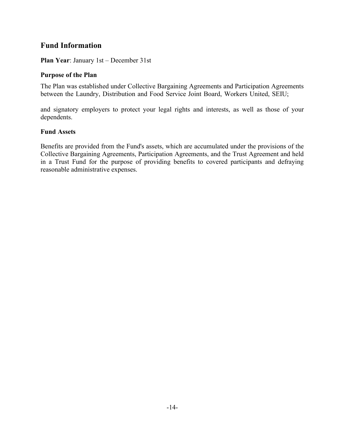### Fund Information

Plan Year: January 1st – December 31st

#### Purpose of the Plan

The Plan was established under Collective Bargaining Agreements and Participation Agreements between the Laundry, Distribution and Food Service Joint Board, Workers United, SEIU;

and signatory employers to protect your legal rights and interests, as well as those of your dependents.

#### Fund Assets

Benefits are provided from the Fund's assets, which are accumulated under the provisions of the Collective Bargaining Agreements, Participation Agreements, and the Trust Agreement and held in a Trust Fund for the purpose of providing benefits to covered participants and defraying reasonable administrative expenses.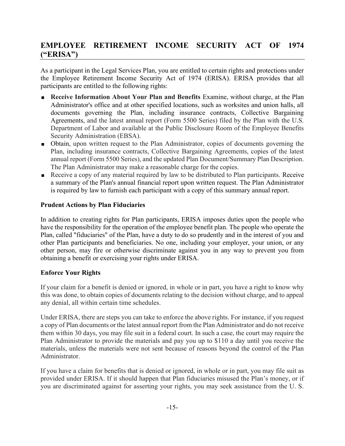## EMPLOYEE RETIREMENT INCOME SECURITY ACT OF 1974 ("ERISA")

As a participant in the Legal Services Plan, you are entitled to certain rights and protections under the Employee Retirement Income Security Act of 1974 (ERISA). ERISA provides that all participants are entitled to the following rights:

- **Receive Information About Your Plan and Benefits** Examine, without charge, at the Plan Administrator's office and at other specified locations, such as worksites and union halls, all documents governing the Plan, including insurance contracts, Collective Bargaining Agreements, and the latest annual report (Form 5500 Series) filed by the Plan with the U.S. Department of Labor and available at the Public Disclosure Room of the Employee Benefits Security Administration (EBSA).
- Obtain, upon written request to the Plan Administrator, copies of documents governing the Plan, including insurance contracts, Collective Bargaining Agreements, copies of the latest annual report (Form 5500 Series), and the updated Plan Document/Summary Plan Description. The Plan Administrator may make a reasonable charge for the copies.
- Receive a copy of any material required by law to be distributed to Plan participants. Receive a summary of the Plan's annual financial report upon written request. The Plan Administrator is required by law to furnish each participant with a copy of this summary annual report.

#### Prudent Actions by Plan Fiduciaries

In addition to creating rights for Plan participants, ERISA imposes duties upon the people who have the responsibility for the operation of the employee benefit plan. The people who operate the Plan, called "fiduciaries" of the Plan, have a duty to do so prudently and in the interest of you and other Plan participants and beneficiaries. No one, including your employer, your union, or any other person, may fire or otherwise discriminate against you in any way to prevent you from obtaining a benefit or exercising your rights under ERISA.

#### Enforce Your Rights

If your claim for a benefit is denied or ignored, in whole or in part, you have a right to know why this was done, to obtain copies of documents relating to the decision without charge, and to appeal any denial, all within certain time schedules.

Under ERISA, there are steps you can take to enforce the above rights. For instance, if you request a copy of Plan documents or the latest annual report from the Plan Administrator and do not receive them within 30 days, you may file suit in a federal court. In such a case, the court may require the Plan Administrator to provide the materials and pay you up to \$110 a day until you receive the materials, unless the materials were not sent because of reasons beyond the control of the Plan Administrator.

If you have a claim for benefits that is denied or ignored, in whole or in part, you may file suit as provided under ERISA. If it should happen that Plan fiduciaries misused the Plan's money, or if you are discriminated against for asserting your rights, you may seek assistance from the U. S.